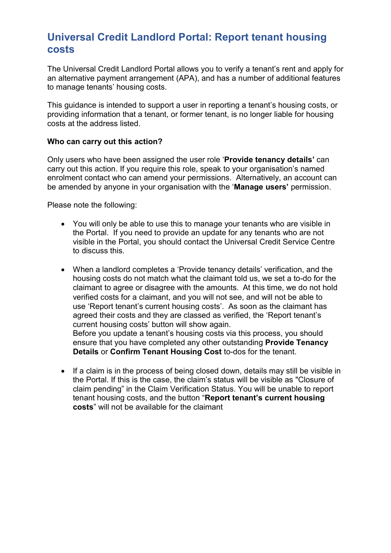## Universal Credit Landlord Portal: Report tenant housing costs

The Universal Credit Landlord Portal allows you to verify a tenant's rent and apply for an alternative payment arrangement (APA), and has a number of additional features to manage tenants' housing costs.

This guidance is intended to support a user in reporting a tenant's housing costs, or providing information that a tenant, or former tenant, is no longer liable for housing costs at the address listed.

#### Who can carry out this action?

Only users who have been assigned the user role 'Provide tenancy details' can carry out this action. If you require this role, speak to your organisation's named enrolment contact who can amend your permissions. Alternatively, an account can be amended by anyone in your organisation with the 'Manage users' permission.

Please note the following:

- You will only be able to use this to manage your tenants who are visible in the Portal. If you need to provide an update for any tenants who are not visible in the Portal, you should contact the Universal Credit Service Centre to discuss this.
- When a landlord completes a 'Provide tenancy details' verification, and the housing costs do not match what the claimant told us, we set a to-do for the claimant to agree or disagree with the amounts. At this time, we do not hold verified costs for a claimant, and you will not see, and will not be able to use 'Report tenant's current housing costs'. As soon as the claimant has agreed their costs and they are classed as verified, the 'Report tenant's current housing costs' button will show again. Before you update a tenant's housing costs via this process, you should

ensure that you have completed any other outstanding Provide Tenancy Details or Confirm Tenant Housing Cost to-dos for the tenant.

• If a claim is in the process of being closed down, details may still be visible in the Portal. If this is the case, the claim's status will be visible as "Closure of claim pending" in the Claim Verification Status. You will be unable to report tenant housing costs, and the button "Report tenant's current housing costs" will not be available for the claimant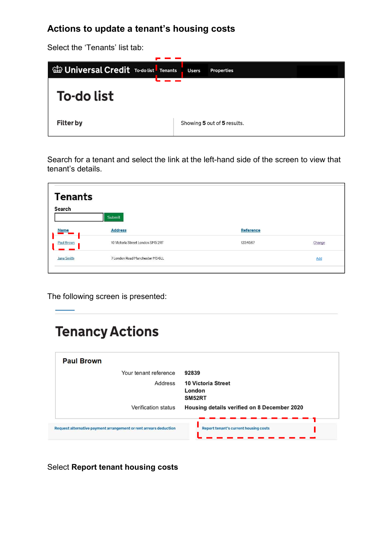## Actions to update a tenant's housing costs

Select the 'Tenants' list tab:

| <b>William Universal Credit To-do list</b> Tenants | <b>Users</b> | <b>Properties</b>           |
|----------------------------------------------------|--------------|-----------------------------|
| To-do list                                         |              |                             |
| <b>Filter by</b>                                   |              | Showing 5 out of 5 results. |

Search for a tenant and select the link at the left-hand side of the screen to view that tenant's details.

| <b>Tenants</b><br>Search | Submit                            |                  |            |
|--------------------------|-----------------------------------|------------------|------------|
| <b>Name</b>              | <b>Address</b>                    | <b>Reference</b> |            |
| <b>Paul Brown</b>        | 10 Victoria Street London SM5 2RT | 1234567          | Change     |
| <b>Jane Smith</b>        | 7 London Road Manchester M5 6LL   |                  | <b>Add</b> |
|                          |                                   |                  |            |

The following screen is presented:

# **Tenancy Actions**

| <b>Paul Brown</b>                                                 |                                               |
|-------------------------------------------------------------------|-----------------------------------------------|
| Your tenant reference                                             | 92839                                         |
| Address                                                           | <b>10 Victoria Street</b><br>London<br>SM52RT |
| Verification status                                               | Housing details verified on 8 December 2020   |
| Request alternative payment arrangement or rent arrears deduction | Report tenant's current housing costs         |

Select Report tenant housing costs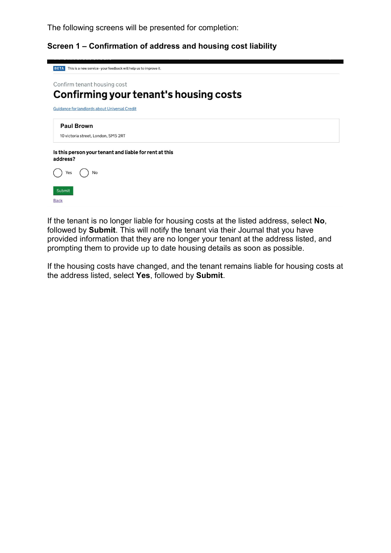The following screens will be presented for completion:

Screen 1 – Confirmation of address and housing cost liability



**Back** 

If the tenant is no longer liable for housing costs at the listed address, select No, followed by Submit. This will notify the tenant via their Journal that you have provided information that they are no longer your tenant at the address listed, and prompting them to provide up to date housing details as soon as possible.

If the housing costs have changed, and the tenant remains liable for housing costs at the address listed, select Yes, followed by Submit.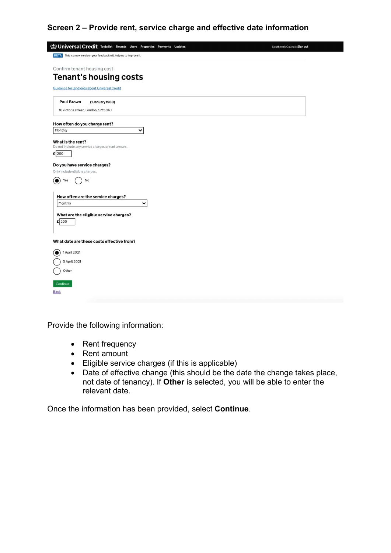### Screen 2 – Provide rent, service charge and effective date information

| <b>BETA</b> This is a new service - your feedback will help us to improve it.<br>Confirm tenant housing cost<br><b>Tenant's housing costs</b><br><b>Guidance for landlords about Universal Credit</b> |  |
|-------------------------------------------------------------------------------------------------------------------------------------------------------------------------------------------------------|--|
|                                                                                                                                                                                                       |  |
|                                                                                                                                                                                                       |  |
|                                                                                                                                                                                                       |  |
|                                                                                                                                                                                                       |  |
|                                                                                                                                                                                                       |  |
| (1 January 1980)<br><b>Paul Brown</b><br>10 victoria street, London, SM5 2RT                                                                                                                          |  |
|                                                                                                                                                                                                       |  |
| How often do you charge rent?                                                                                                                                                                         |  |
| $\checkmark$                                                                                                                                                                                          |  |
|                                                                                                                                                                                                       |  |
| What is the rent?<br>Do not include any service charges or rent arrears.                                                                                                                              |  |
|                                                                                                                                                                                                       |  |
|                                                                                                                                                                                                       |  |
| Do you have service charges?                                                                                                                                                                          |  |
| Only include eligible charges.                                                                                                                                                                        |  |
| No                                                                                                                                                                                                    |  |
|                                                                                                                                                                                                       |  |
| How often are the service charges?                                                                                                                                                                    |  |
| $\checkmark$                                                                                                                                                                                          |  |
|                                                                                                                                                                                                       |  |
| What are the eligible service charges?                                                                                                                                                                |  |
|                                                                                                                                                                                                       |  |
|                                                                                                                                                                                                       |  |
| What date are these costs effective from?                                                                                                                                                             |  |
|                                                                                                                                                                                                       |  |
| 1 April 2021                                                                                                                                                                                          |  |
| 5 April 2021                                                                                                                                                                                          |  |
|                                                                                                                                                                                                       |  |
|                                                                                                                                                                                                       |  |
|                                                                                                                                                                                                       |  |
|                                                                                                                                                                                                       |  |
|                                                                                                                                                                                                       |  |

Provide the following information:

- Rent frequency
- Rent amount
- Eligible service charges (if this is applicable)
- Date of effective change (this should be the date the change takes place, not date of tenancy). If Other is selected, you will be able to enter the relevant date.

Once the information has been provided, select Continue.